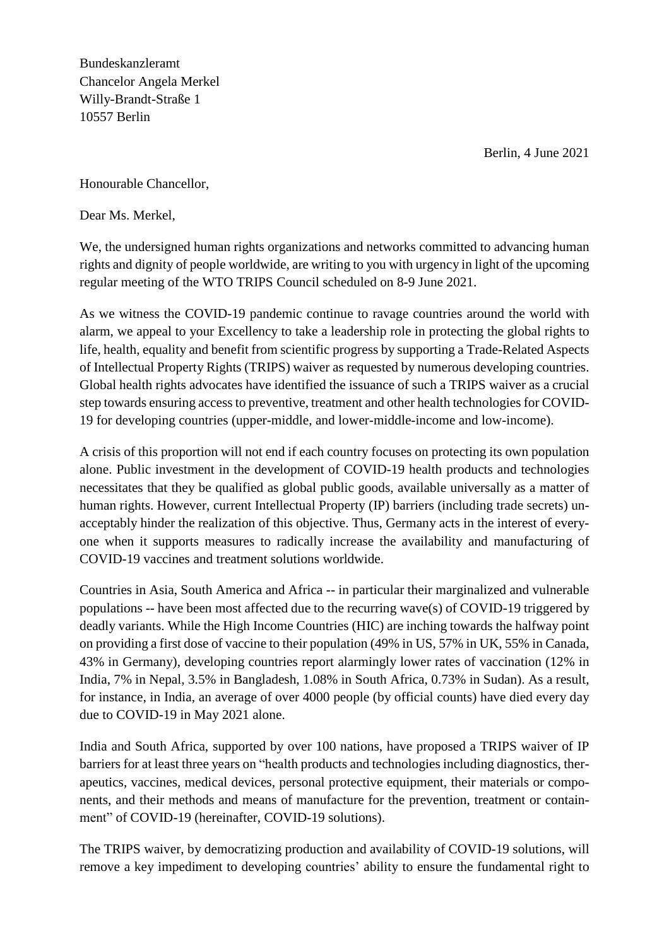Berlin, 4 June 2021

Bundeskanzleramt Chancelor Angela Merkel Willy-Brandt-Straße 1 10557 Berlin

Honourable Chancellor,

Dear Ms. Merkel,

We, the undersigned human rights organizations and networks committed to advancing human rights and dignity of people worldwide, are writing to you with urgency in light of the upcoming regular meeting of the WTO TRIPS Council scheduled on 8-9 June 2021.

As we witness the COVID-19 pandemic continue to ravage countries around the world with alarm, we appeal to your Excellency to take a leadership role in protecting the global rights to life, health, equality and benefit from scientific progress by supporting a Trade-Related Aspects of Intellectual Property Rights (TRIPS) waiver as requested by numerous developing countries. Global health rights advocates have identified the issuance of such a TRIPS waiver as a crucial step towards ensuring access to preventive, treatment and other health technologies for COVID-19 for developing countries (upper-middle, and lower-middle-income and low-income).

A crisis of this proportion will not end if each country focuses on protecting its own population alone. Public investment in the development of COVID-19 health products and technologies necessitates that they be qualified as global public goods, available universally as a matter of human rights. However, current Intellectual Property (IP) barriers (including trade secrets) unacceptably hinder the realization of this objective. Thus, Germany acts in the interest of everyone when it supports measures to radically increase the availability and manufacturing of COVID-19 vaccines and treatment solutions worldwide.

Countries in Asia, South America and Africa -- in particular their marginalized and vulnerable populations -- have been most affected due to the recurring wave(s) of COVID-19 triggered by deadly variants. While the High Income Countries (HIC) are inching towards the halfway point on providing a first dose of vaccine to their population (49% in US, 57% in UK, 55% in Canada, 43% in Germany), developing countries report alarmingly lower rates of vaccination (12% in India, 7% in Nepal, 3.5% in Bangladesh, 1.08% in South Africa, 0.73% in Sudan). As a result, for instance, in India, an average of over 4000 people (by official counts) have died every day due to COVID-19 in May 2021 alone.

India and South Africa, supported by over 100 nations, have proposed a TRIPS waiver of IP barriers for at least three years on "health products and technologies including diagnostics, therapeutics, vaccines, medical devices, personal protective equipment, their materials or components, and their methods and means of manufacture for the prevention, treatment or containment" of COVID-19 (hereinafter, COVID-19 solutions).

The TRIPS waiver, by democratizing production and availability of COVID-19 solutions, will remove a key impediment to developing countries' ability to ensure the fundamental right to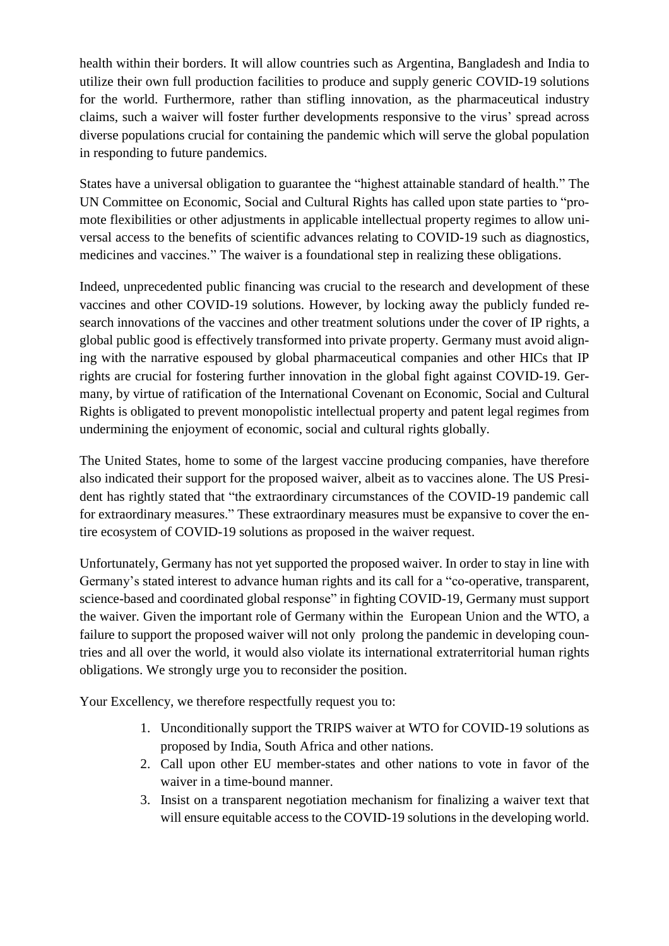health within their borders. It will allow countries such as Argentina, Bangladesh and India to utilize their own full production facilities to produce and supply generic COVID-19 solutions for the world. Furthermore, rather than stifling innovation, as the pharmaceutical industry claims, such a waiver will foster further developments responsive to the virus' spread across diverse populations crucial for containing the pandemic which will serve the global population in responding to future pandemics.

States have a universal obligation to guarantee the "highest attainable standard of health." The UN Committee on Economic, Social and Cultural Rights has called upon state parties to "promote flexibilities or other adjustments in applicable intellectual property regimes to allow universal access to the benefits of scientific advances relating to COVID-19 such as diagnostics, medicines and vaccines." The waiver is a foundational step in realizing these obligations.

Indeed, unprecedented public financing was crucial to the research and development of these vaccines and other COVID-19 solutions. However, by locking away the publicly funded research innovations of the vaccines and other treatment solutions under the cover of IP rights, a global public good is effectively transformed into private property. Germany must avoid aligning with the narrative espoused by global pharmaceutical companies and other HICs that IP rights are crucial for fostering further innovation in the global fight against COVID-19. Germany, by virtue of ratification of the International Covenant on Economic, Social and Cultural Rights is obligated to prevent monopolistic intellectual property and patent legal regimes from undermining the enjoyment of economic, social and cultural rights globally.

The United States, home to some of the largest vaccine producing companies, have therefore also indicated their support for the proposed waiver, albeit as to vaccines alone. The US President has rightly stated that "the extraordinary circumstances of the COVID-19 pandemic call for extraordinary measures." These extraordinary measures must be expansive to cover the entire ecosystem of COVID-19 solutions as proposed in the waiver request.

Unfortunately, Germany has not yet supported the proposed waiver. In order to stay in line with Germany's stated interest to advance human rights and its call for a "co-operative, transparent, science-based and coordinated global response" in fighting COVID-19, Germany must support the waiver. Given the important role of Germany within the European Union and the WTO, a failure to support the proposed waiver will not only prolong the pandemic in developing countries and all over the world, it would also violate its international extraterritorial human rights obligations. We strongly urge you to reconsider the position.

Your Excellency, we therefore respectfully request you to:

- 1. Unconditionally support the TRIPS waiver at WTO for COVID-19 solutions as proposed by India, South Africa and other nations.
- 2. Call upon other EU member-states and other nations to vote in favor of the waiver in a time-bound manner.
- 3. Insist on a transparent negotiation mechanism for finalizing a waiver text that will ensure equitable access to the COVID-19 solutions in the developing world.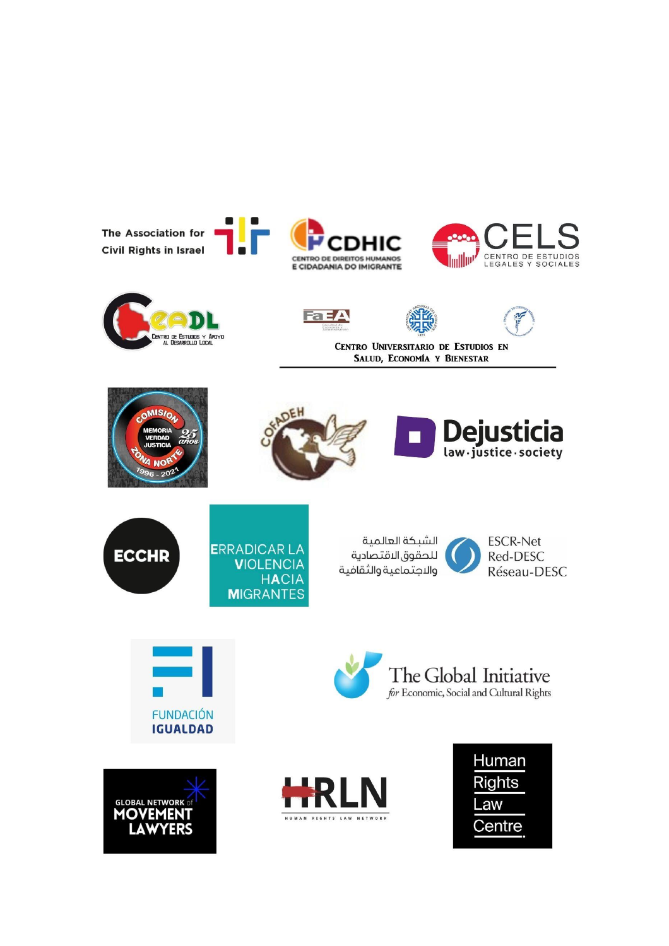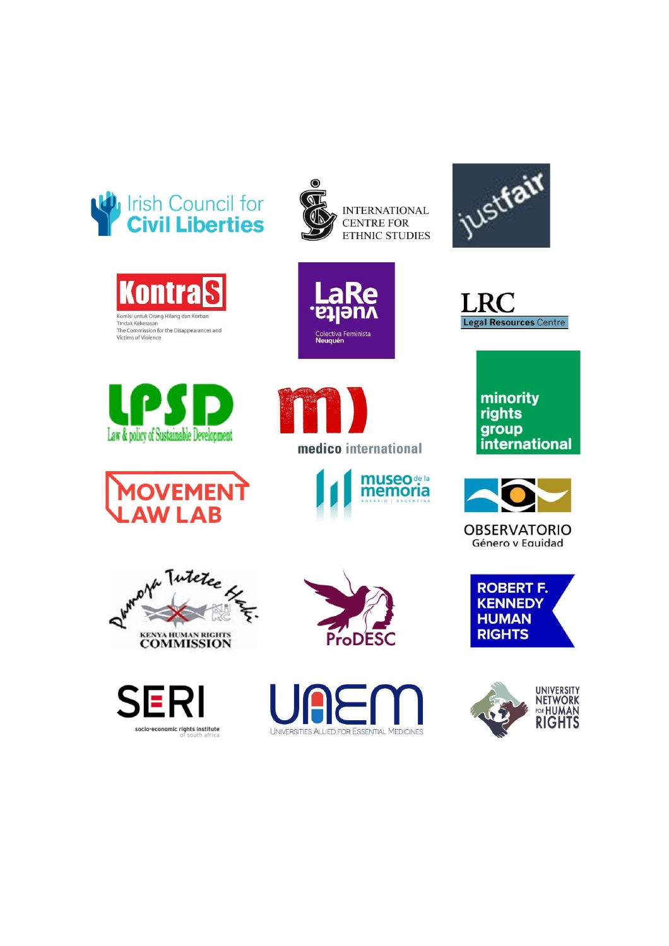